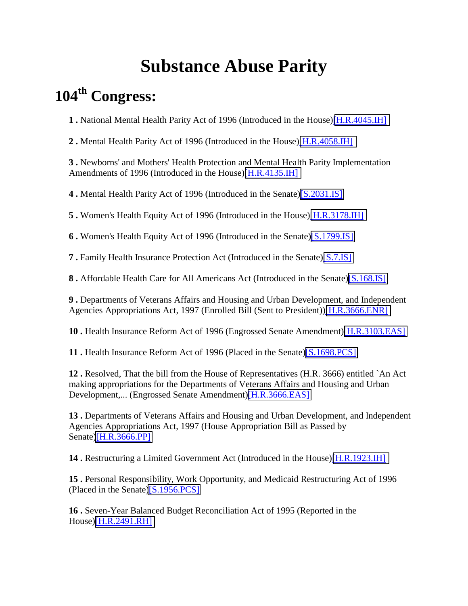## **Substance Abuse Parity**

## **104th Congress:**

**1 .** National Mental Health Parity Act of 1996 (Introduced in the House)[\[H.R.4045.IH\]](http://thomas.loc.gov/cgi-bin/query/D?c104:1:./temp/~c104KG6Z20::)

**2 .** Mental Health Parity Act of 1996 (Introduced in the House)[\[H.R.4058.IH\]](http://thomas.loc.gov/cgi-bin/query/D?c104:2:./temp/~c104KG6Z20::)

**3 .** Newborns' and Mothers' Health Protection and Mental Health Parity Implementation Amendments of 1996 (Introduced in the House)[\[H.R.4135.IH\]](http://thomas.loc.gov/cgi-bin/query/D?c104:3:./temp/~c104KG6Z20::)

**4 .** Mental Health Parity Act of 1996 (Introduced in the Senate[\)\[S.2031.IS\]](http://thomas.loc.gov/cgi-bin/query/D?c104:4:./temp/~c104KG6Z20::)

**5 .** Women's Health Equity Act of 1996 (Introduced in the House)[\[H.R.3178.IH\]](http://thomas.loc.gov/cgi-bin/query/D?c104:5:./temp/~c104KG6Z20::)

**6 .** Women's Health Equity Act of 1996 (Introduced in the Senate[\)\[S.1799.IS\]](http://thomas.loc.gov/cgi-bin/query/D?c104:6:./temp/~c104KG6Z20::)

**7 .** Family Health Insurance Protection Act (Introduced in the Senate)[\[S.7.IS\]](http://thomas.loc.gov/cgi-bin/query/D?c104:7:./temp/~c104KG6Z20::)

**8 .** Affordable Health Care for All Americans Act (Introduced in the Senate)[\[S.168.IS\]](http://thomas.loc.gov/cgi-bin/query/D?c104:8:./temp/~c104KG6Z20::)

**9 .** Departments of Veterans Affairs and Housing and Urban Development, and Independent Agencies Appropriations Act, 1997 (Enrolled Bill (Sent to President))[\[H.R.3666.ENR\]](http://thomas.loc.gov/cgi-bin/query/D?c104:9:./temp/~c104KG6Z20::)

**10 .** Health Insurance Reform Act of 1996 (Engrossed Senate Amendment)[\[H.R.3103.EAS\]](http://thomas.loc.gov/cgi-bin/query/D?c104:10:./temp/~c104KG6Z20::)

**11 .** Health Insurance Reform Act of 1996 (Placed in the Senate)[\[S.1698.PCS\]](http://thomas.loc.gov/cgi-bin/query/D?c104:11:./temp/~c104KG6Z20::)

**12 .** Resolved, That the bill from the House of Representatives (H.R. 3666) entitled `An Act making appropriations for the Departments of Veterans Affairs and Housing and Urban Development,... (Engrossed Senate Amendment)[\[H.R.3666.EAS\]](http://thomas.loc.gov/cgi-bin/query/D?c104:12:./temp/~c104KG6Z20::)

**13 .** Departments of Veterans Affairs and Housing and Urban Development, and Independent Agencies Appropriations Act, 1997 (House Appropriation Bill as Passed by Senate[\)\[H.R.3666.PP\]](http://thomas.loc.gov/cgi-bin/query/D?c104:13:./temp/~c104KG6Z20::)

**14 .** Restructuring a Limited Government Act (Introduced in the House)[\[H.R.1923.IH\]](http://thomas.loc.gov/cgi-bin/query/D?c104:14:./temp/~c104KG6Z20::)

**15 .** Personal Responsibility, Work Opportunity, and Medicaid Restructuring Act of 1996 (Placed in the Senate[\)\[S.1956.PCS\]](http://thomas.loc.gov/cgi-bin/query/D?c104:15:./temp/~c104KG6Z20::)

**16 .** Seven-Year Balanced Budget Reconciliation Act of 1995 (Reported in the House)[\[H.R.2491.RH\]](http://thomas.loc.gov/cgi-bin/query/D?c104:16:./temp/~c104KG6Z20::)